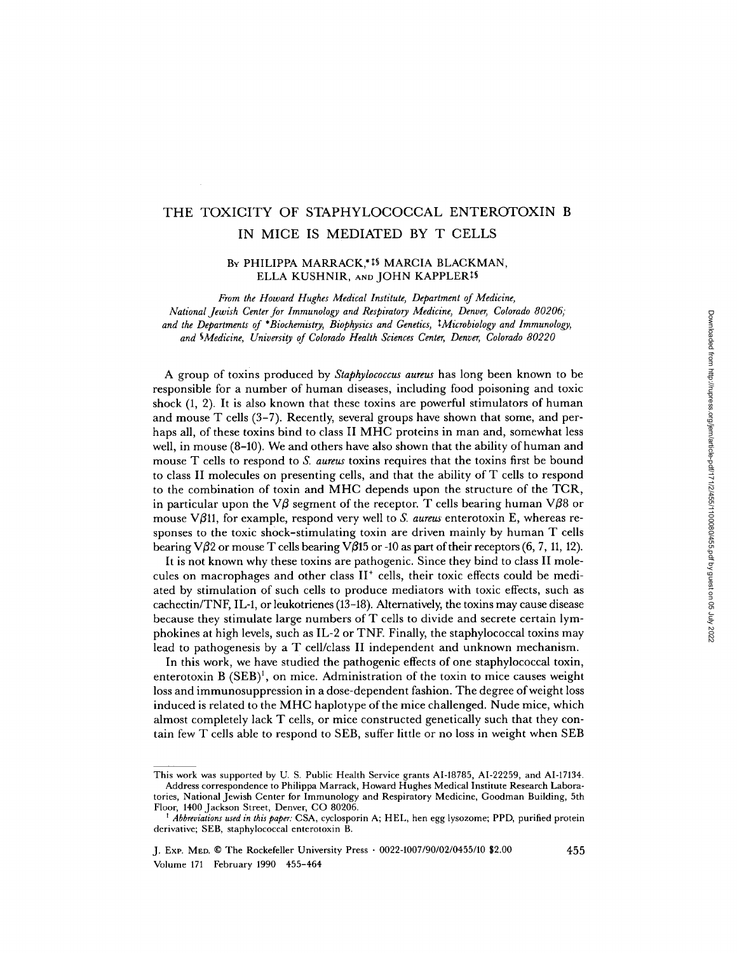# THE TOXICITY OF STAPHYLOCOCCAL ENTEROTOXIN B IN MICE IS MEDIATED BY T CELLS

### BY PHILIPPA MARRACK,\*15 MARCIA BLACKMAN, ELLA KUSHNIR, AND JOHN KAPPLER<sup>19</sup>

From the Howard Hughes Medical Institute, Department of Medicine, National jewish Center for Immunology and Respiratory Medicine, Denver, Colorado 80206, and the Departments of \*Biochemistry, Biophysics and Genetics, 4Microbiology and Immunology, and 4Medicine, University of Colorado Health Sciences Center, Denver, Colorado 80220

A group of toxins produced by Staphylococcus aureus has long been known to be responsible for <sup>a</sup> number of human diseases, including food poisoning and toxic shock (1, 2). It is also known that these toxins are powerful stimulators of human and mouse T cells (3-7). Recently, several groups have shown that some, and perhaps all, of these toxins bind to class II MHC proteins in man and, somewhat less well, in mouse  $(8-10)$ . We and others have also shown that the ability of human and mouse T cells to respond to S. aureus toxins requires that the toxins first be bound to class II molecules on presenting cells, and that the ability of T cells to respond to the combination of toxin and MHC depends upon the structure of the TCR, in particular upon the V $\beta$  segment of the receptor. T cells bearing human V $\beta$ 8 or mouse V $\beta$ 11, for example, respond very well to *S. aureus* enterotoxin E, whereas responses to the toxic shock-stimulating toxin are driven mainly by human T cells bearing V $\beta$ 2 or mouse T cells bearing V $\beta$ 15 or -10 as part of their receptors (6, 7, 11, 12).

It is not known why these toxins are pathogenic. Since they bind to class II molecules on macrophages and other class  $II^+$  cells, their toxic effects could be mediated by stimulation of such cells to produce mediators with toxic effects, such as cachectin/TNF, IL-1, or leukotrienes (13-18). Alternatively, the toxins may cause disease because they stimulate large numbers of T cells to divide and secrete certain lymphokines at high levels, such as IL-2 or TNF. Finally, the staphylococcal toxins may lead to pathogenesis by a T cell/class II independent and unknown mechanism.

In this work, we have studied the pathogenic effects of one staphylococcal toxin, enterotoxin B (SEB)', on mice. Administration of the toxin to mice causes weight loss and immunosuppression in a dose-dependent fashion . The degree ofweight loss induced is related to the MHC haplotype of the mice challenged. Nude mice, which almost completely lack T cells, or mice constructed genetically such that they contain few T cells able to respond to SEB, suffer little or no loss in weight when SEB

This work was supported by U. S. Public Health Service grants AI-18785, AI-22259, and AI-17134 . Address correspondence to Philippa Marrack, Howard Hughes Medical Institute Research Labora-

tories, National Jewish Center for Immunology and Respiratory Medicine, Goodman Building, 5th Floor, 1400 Jackson Street, Denver, CO 80206.

Abbreviations used in this paper: CSA, cyclosporin A; HEL, hen egg lysozome; PPD, purified protein derivative; SEB, staphylococcal enterotoxin B.

J. Exp. Men. C The Rockefeller University Press - 0022-1007/90/02/0455/10 \$2 .00 Volume 171 February 1990 455-464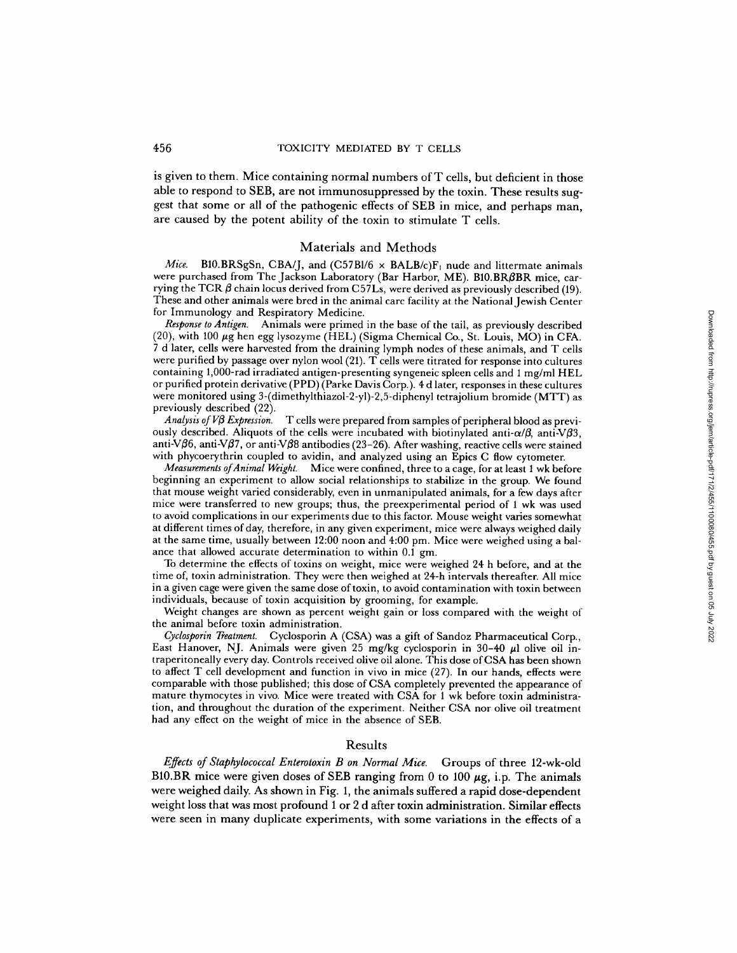is given to them. Mice containing normal numbers of T cells, but deficient in those able to respond to SEB, are not immunosuppressed by the toxin. These results suggest that some or all of the pathogenic effects of SEB in mice, and perhaps man, are caused by the potent ability of the toxin to stimulate T cells .

#### Materials and Methods

*Mice.* B10.BRSgSn, CBA/J, and (C57Bl/6  $\times$  BALB/c)F<sub>1</sub> nude and littermate animals were purchased from The Jackson Laboratory (Bar Harbor, ME). B10.BRBBR mice, carrying the TCR  $\beta$  chain locus derived from C57Ls, were derived as previously described (19). These and other animals were bred in the animal care facility at the National Jewish Center for Immunology and Respiratory Medicine.

Response to Antigen. Animals were primed in the base of the tail, as previously described (20), with 100  $\mu$ g hen egg lysozyme (HEL) (Sigma Chemical Co., St. Louis, MO) in CFA. <sup>7</sup> <sup>d</sup> later, cells were harvested from the draining lymph nodes of these animals, and T cells were purified by passage over nylon wool  $(21)$ . T cells were titrated for response into cultures containing 1,000-rad irradiated antigen-presenting syngeneic spleen cells and <sup>1</sup> mg/ml HEL or purified protein derivative (PPD) (Parke Davis Corp.) . 4 d later, responses in these cultures were monitored using 3-(dimethylthiazol-2-yl)-2,5-diphenyl tetrajolium bromide (MTT) as previously described (22).<br>*Analysis of VB Expression*.

T cells were prepared from samples of peripheral blood as previously described. Aliquots of the cells were incubated with biotinylated anti- $\alpha/\beta$ , anti  $\nabla\beta$ 3, anti- $\nabla$  $\beta$ 6, anti- $\nabla$  $\beta$ 7, or anti- $\nabla$  $\beta$ 8 antibodies (23-26). After washing, reactive cells were stained with phycoerythrin coupled to avidin, and analyzed using an Epics C flow cytometer.

Measurements ofAnimal Weight. Mice were confined, three to a cage, for at least <sup>1</sup> wk before beginning an experiment to allow social relationships to stabilize in the group. We found that mouse weight varied considerably, even in unmanipulated animals, for a few days after mice were transferred to new groups; thus, the preexperimental period of 1 wk was used to avoid complications in our experiments due to this factor. Mouse weight varies somewhat at different times of day, therefore, in any given experiment, mice were always weighed daily at the same time, usually between 12:00 noon and 4:00 pm. Mice were weighed using a balance that allowed accurate determination to within 0.1 gm.

To determine the effects of toxins on weight, mice were weighed 24 h before, and at the time of, toxin administration . They were then weighed at 24-h intervals thereafter. All mice in a given cage were given the same dose of toxin, to avoid contamination with toxin between individuals, because of toxin acquisition by grooming, for example.

Weight changes are shown as percent weight gain or loss compared with the weight of the animal before toxin administration.

Cyclosporin Treatment. Cyclosporin A (CSA) was a gift of Sandoz Pharmaceutical Corp., East Hanover, NJ. Animals were given 25 mg/kg cyclosporin in 30-40  $\mu$ l olive oil intraperitoneally every day. Controls received olive oil alone. This dose of CSA has been shown to affect T cell development and function in vivo in mice (27) . In our hands, effects were comparable with those published; this dose of CSA completely prevented the appearance of mature thymocytes in vivo. Mice were treated with CSA for <sup>1</sup> wk before toxin administration, and throughout the duration of the experiment. Neither CSA nor olive oil treatment had any effect on the weight of mice in the absence of SEB.

#### Results

Effects of Staphylococcal Enterotoxin B on Normal Mice. Groups of three 12-wk-old B10.BR mice were given doses of SEB ranging from 0 to 100  $\mu$ g, i.p. The animals were weighed daily. As shown in Fig. 1, the animals suffered a rapid dose-dependent weight loss that was most profound 1 or 2 d after toxin administration . Similar effects were seen in many duplicate experiments, with some variations in the effects of a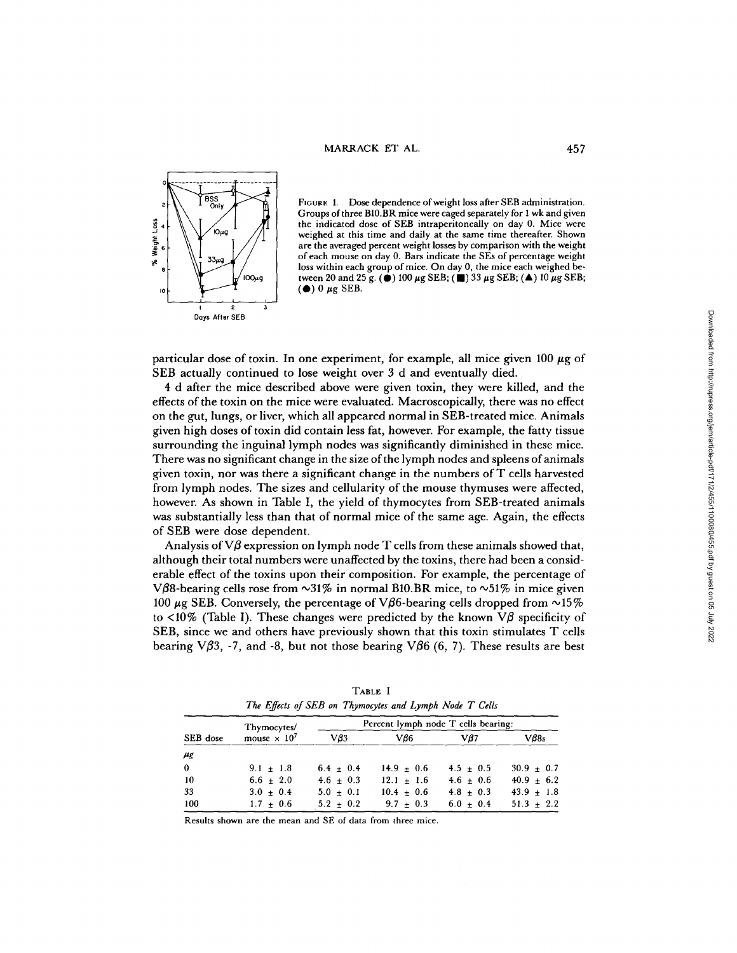

FIGURE 1. Dose dependence of weight loss after SEB administration. Groups of three B10.BR mice were caged separately for <sup>1</sup> wk and given the indicated dose of SEB intraperitoneally on day 0. Mice were weighed at this time and daily at the same time thereafter. Shown are the averaged percent weight losses by comparison with the weight of each mouse on day 0. Bars indicate the SEs of percentage weight loss within each group of mice. On day 0, the mice each weighed between 20 and 25 g. ( $\bullet$ ) 100  $\mu$ g SEB; ( $\bullet$ ) 33  $\mu$ g SEB; ( $\blacktriangle$ ) 10  $\mu$ g SEB; ( $\bullet$ ) 0  $\mu$ g SEB.

particular dose of toxin. In one experiment, for example, all mice given 100  $\mu$ g of SEB actually continued to lose weight over <sup>3</sup> d and eventually died.

4 d after the mice described above were given toxin, they were killed, and the effects of the toxin on the mice were evaluated. Macroscopically, there was no effect on the gut, lungs, or liver, which all appeared normal in SEB-treated mice. Animals given high doses of toxin did contain less fat, however. For example, the fatty tissue surrounding the inguinal lymph nodes was significantly diminished in these mice. There was no significant change in the size of the lymph nodes and spleens of animals given toxin, nor was there a significant change in the numbers of T cells harvested from lymph nodes. The sizes and cellularity of the mouse thymuses were affected, however. As shown in Table I, the yield of thymocytes from SEB-treated animals was substantially less than that of normal mice of the same age. Again, the effects of SEB were dose dependent.

Analysis of  $V\beta$  expression on lymph node T cells from these animals showed that, although their total numbers were unaffected by the toxins, there had been a considerable effect of the toxins upon their composition. For example, the percentage of V $\beta$ 8-bearing cells rose from  $\sim$ 31% in normal B10.BR mice, to  $\sim$ 51% in mice given 100  $\mu$ g SEB. Conversely, the percentage of V $\beta$ 6-bearing cells dropped from  $\sim$ 15% to  $\langle 10\% \rangle$  (Table I). These changes were predicted by the known V $\beta$  specificity of SEB, since we and others have previously shown that this toxin stimulates T cells bearing V $\beta$ 3, -7, and -8, but not those bearing V $\beta$ 6 (6, 7). These results are best

| SEB dose | Thymocytes/<br>mouse $\times 10^7$ | Percent lymph node T cells bearing: |                |               |                |
|----------|------------------------------------|-------------------------------------|----------------|---------------|----------------|
|          |                                    | V63                                 | Vß6            | V87           | $V\beta8s$     |
| $\mu$ g  |                                    |                                     |                |               |                |
| $\bf{0}$ | $9.1 + 1.8$                        | $6.4 + 0.4$                         | $14.9 + 0.6$   | $4.5 + 0.5$   | $30.9 \pm 0.7$ |
| 10       | $6.6 + 2.0$                        | $4.6 + 0.3$                         | $12.1 + 1.6$   | $4.6 + 0.6$   | $40.9 \pm 6.2$ |
| 33       | $3.0 \pm 0.4$                      | $5.0 \pm 0.1$                       | $10.4 \pm 0.6$ | $4.8 \pm 0.3$ | $43.9 \pm 1.8$ |
| 100      | $1.7 + 0.6$                        | $5.2 + 0.2$                         | $9.7 + 0.3$    | $6.0 + 0.4$   | $51.3 \pm 2.2$ |

TABLE <sup>I</sup> The Effects of SEB on Thymocytes and Lymph Node T Cells

Results shown are the mean and SE of data from three mice .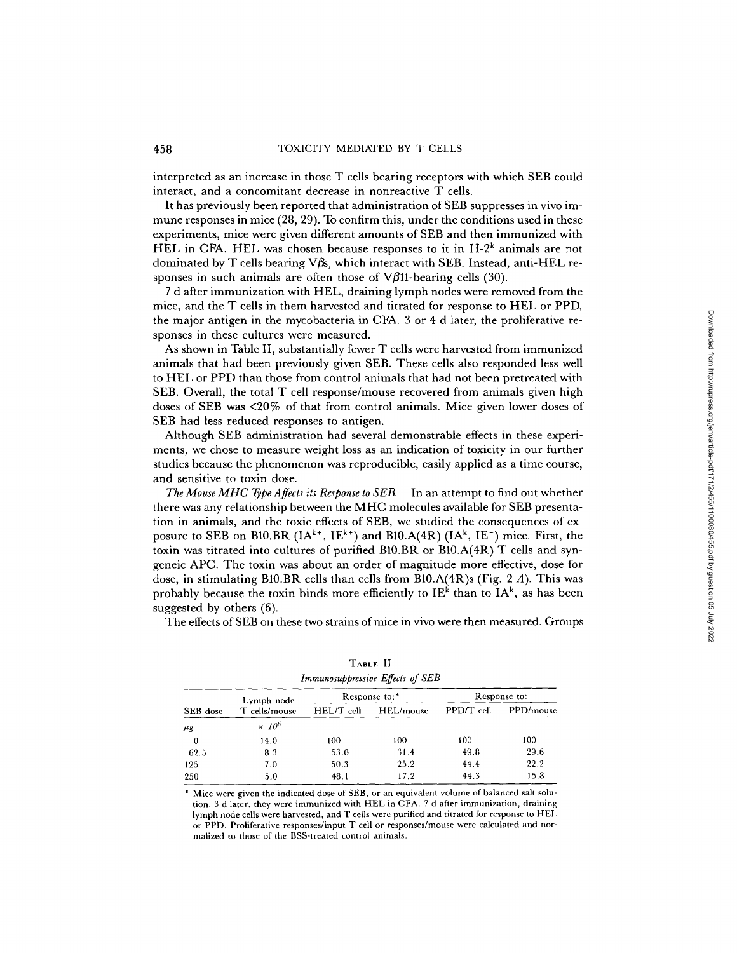interpreted as an increase in those T cells bearing receptors with which SEB could interact, and a concomitant decrease in nonreactive T cells .

It has previously been reported that administration of SEB suppresses in vivo immune responses in mice (28, 29) . To confirm this, under the conditions used in these experiments, mice were given different amounts of SEB and then immunized with HEL in CFA. HEL was chosen because responses to it in  $H-2^k$  animals are not dominated by T cells bearing V $\beta$ s, which interact with SEB. Instead, anti-HEL responses in such animals are often those of  $V\beta$ 11-bearing cells (30).

<sup>7</sup> d after immunization with HEL, draining lymph nodes were removed from the mice, and the T cells in them harvested and titrated for response to HEL or PPD, the major antigen in the mycobacteria in CFA. <sup>3</sup> or 4 d later, the proliferative responses in these cultures were measured.

As shown in Table II, substantially fewer T cells were harvested from immunized animals that had been previously given SEB. These cells also responded less well to HEL or PPD than those from control animals that had not been pretreated with SEB. Overall, the total T cell response/mouse recovered from animals given high doses of SEB was <20% of that from control animals. Mice given lower doses of SEB had less reduced responses to antigen.

Although SEB administration had several demonstrable effects in these experiments, we chose to measure weight loss as an indication of toxicity in our further studies because the phenomenon was reproducible, easily applied as a time course, and sensitive to toxin dose.

The Mouse MHC Type Affects its Response to SEB. In an attempt to find out whether there was any relationship between the MHC molecules available for SEB presentation in animals, and the toxic effects of SEB, we studied the consequences of exposure to SEB on B10.BR ( $IA^{k+}$ ,  $IE^{k+}$ ) and B10.A( $4R$ ) ( $IA^k$ ,  $IE^-$ ) mice. First, the toxin was titrated into cultures of purified B10.BR or B10.A(4R) T cells and syngeneic APC. The toxin was about an order of magnitude more effective, dose for dose, in stimulating B10.BR cells than cells from B10.A(4R)s (Fig. 2 A). This was probably because the toxin binds more efficiently to  $IE<sup>k</sup>$  than to  $IA<sup>k</sup>$ , as has been suggested by others  $(6)$ .

The effects of SEB on these two strains of mice in vivo were then measured. Groups

| Immunosuppressive Effects of SEB |                             |               |           |              |           |  |  |  |
|----------------------------------|-----------------------------|---------------|-----------|--------------|-----------|--|--|--|
| SEB dose                         | Lymph node<br>T cells/mouse | Response to:* |           | Response to: |           |  |  |  |
|                                  |                             | HEL/T cell    | HEL/mouse | PPD/T cell   | PPD/mouse |  |  |  |
| $\mu$ g                          | $\times 10^6$               |               |           |              |           |  |  |  |
| $\bf{0}$                         | 14.0                        | 100           | 100       | 100          | 100       |  |  |  |
| 62.5                             | 8.3                         | 53.0          | 31.4      | 49.8         | 29.6      |  |  |  |
| 125                              | 7.0                         | 50.3          | 25.2      | 44.4         | 22.2      |  |  |  |
| 250                              | 5.0                         | 48.1          | 17.2      | 44.3         | 15.8      |  |  |  |

| Table II                         |  |
|----------------------------------|--|
| Immunosuppressive Effects of SEB |  |

\* Mice were given the indicated dose of SEB, or an equivalent volume of balanced salt solution . <sup>3</sup> d later, they were immunized with HEL in CFA. <sup>7</sup> d after immunization, draining lymph node cells were harvested, and T cells were purified and titrated for response to HEL or PPD. Proliferative responses/input T cell or responses/mouse were calculated and normalized to those of the BSS-treated control animals .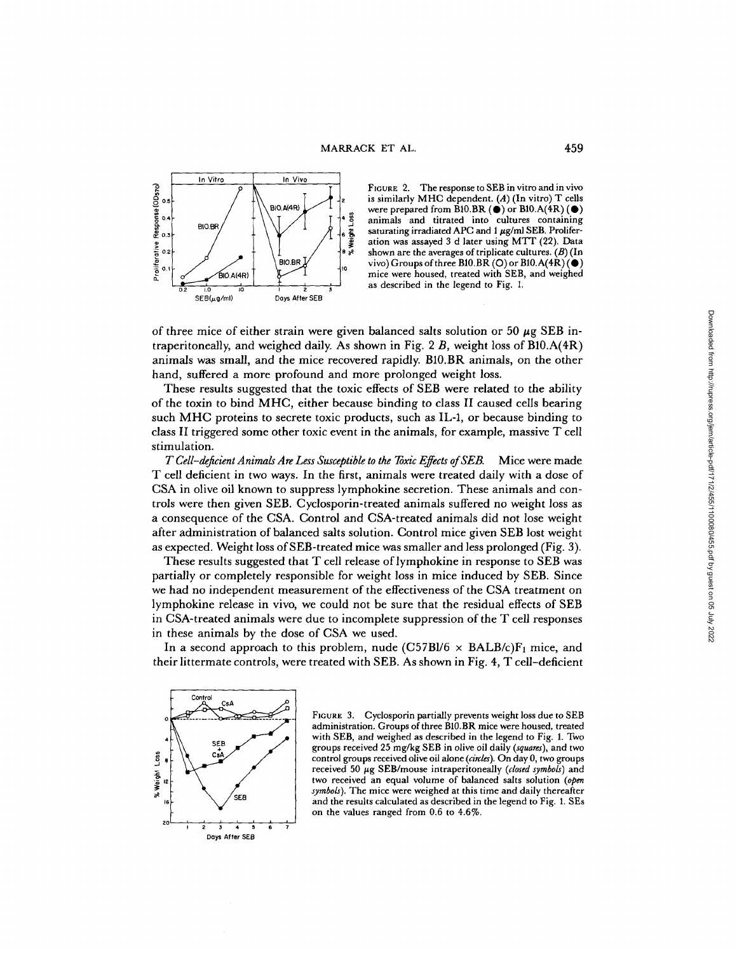

FIGURE 2. The response to SEB in vitro and in vivo is similarly MHC dependent. (A) (In vitro) T cells were prepared from B10.BR  $(\bullet)$  or B10.A(4R)  $(\bullet)$ animals and titrated into cultures containing saturating irradiated APC and  $1 \mu$ g/ml SEB. Proliferation was assayed <sup>3</sup> <sup>d</sup> later using MTT (22) . Data shown are the averages of triplicate cultures.  $(B)$  (In vivo) Groups of three B10.BR  $(O)$  or B10.A(4R) $(O)$ mice were housed, treated with SEB, and weighed as described in the legend to Fig. 1.

of three mice of either strain were given balanced salts solution or 50  $\mu$ g SEB intraperitoneally, and weighed daily. As shown in Fig. 2  $B$ , weight loss of B10.A(4R) animals was small, and the mice recovered rapidly. B10.BR animals, on the other hand, suffered a more profound and more prolonged weight loss.

These results suggested that the toxic effects of SEB were related to the ability of the toxin to bind MHC, either because binding to class II caused cells bearing such MHC proteins to secrete toxic products, such as IL-1, or because binding to class II triggered some other toxic event in the animals, for example, massive  $T$  cell stimulation.

T Cell-deficient Animals Are Less Susceptible to the Toxic Effects of SEB. Mice were made T cell deficient in two ways. In the first, animals were treated daily with a dose of CSA in olive oil known to suppress lymphokine secretion. These animals and controls were then given SEB. Cyclosporin-treated animals suffered no weight loss as <sup>a</sup> consequence of the CSA. Control and CSA-treated animals did not lose weight after administration of balanced salts solution . Control mice given SEB lost weight as expected. Weight loss of SEB-treated mice was smaller and less prolonged (Fig. 3).

These results suggested that T cell release of lymphokine in response to SEB was partially or completely responsible for weight loss in mice induced by SEB. Since we had no independent measurement of the effectiveness of the CSA treatment on lymphokine release in vivo, we could not be sure that the residual effects of SEB in CSA-treated animals were due to incomplete suppression of the T cell responses in these animals by the dose of CSA we used.

In a second approach to this problem, nude  $(C57B1/6 \times BALB/c)F_1$  mice, and their littermate controls, were treated with SEB. As shown in Fig. 4, T cell-deficient



FIGURE 3. Cyclosporin partially prevents weight loss due to SEB administration. Groups of three B10.BR mice were housed, treated with SEB, and weighed as described in the legend to Fig. 1. Two groups received <sup>25</sup> mg/kg SEB in olive oil daily (squares), and two control groups received olive oil alone (circles). On day 0, two groups received 50 µg SEB/mouse intraperitoneally (closed symbols) and two received an equal volume of balanced salts solution (open symbols). The mice were weighed at this time and daily thereafter and the results calculated as described in the legend to Fig. 1. SEs on the values ranged from 0.6 to 4.6%.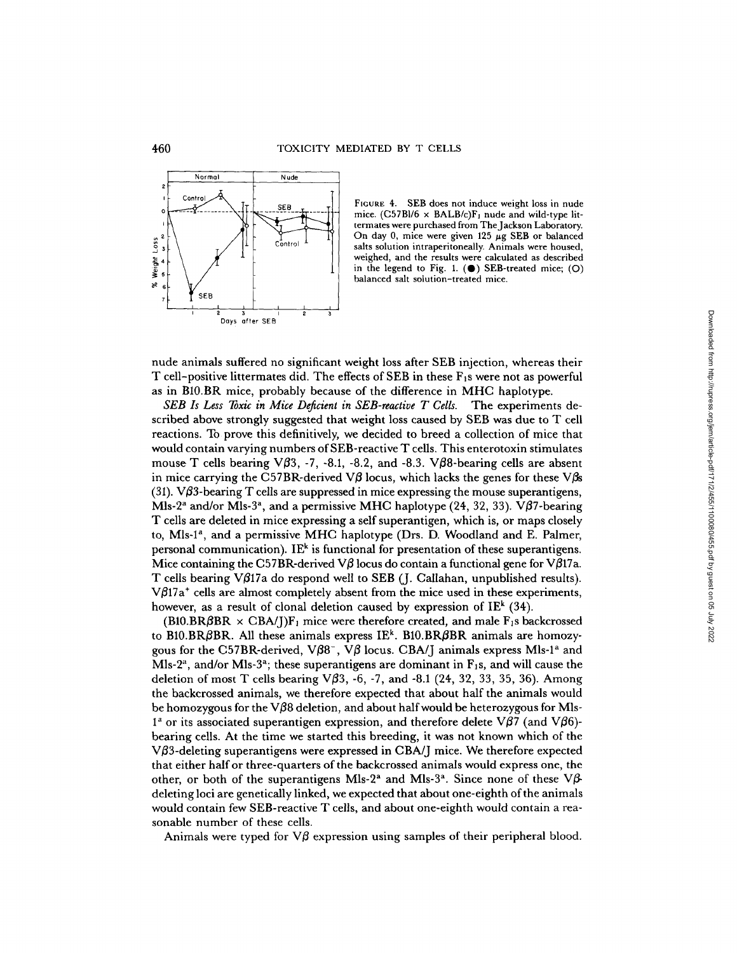

FIGURE 4. SEB does not induce weight loss in nude mice.  $(C57B1/6 \times BALB/c)F_1$  nude and wild-type littermates were purchased from TheJackson Laboratory. On day 0, mice were given 125  $\mu$ g SEB or balanced salts solution intraperitoneally. Animals were housed, weighed, and the results were calculated as described in the legend to Fig. 1.  $(\bullet)$  SEB-treated mice; (O) balanced salt solution-treated mice.

nude animals suffered no significant weight loss after SEB injection, whereas their T cell-positive littermates did. The effects of SEB in these  $F_1$ s were not as powerful as in B10.BR mice, probably because of the difference in MHC haplotype.

SEB Is Less Toxic in Mice Deficient in SEB-reactive T Cells. The experiments described above strongly suggested that weight loss caused by SEB was due to T cell reactions. To prove this definitively, we decided to breed a collection of mice that would contain varying numbers of SEB-reactive T cells. This enterotoxin stimulates mouse T cells bearing  $\sqrt{63}$ , -7, -8.1, -8.2, and -8.3.  $\sqrt{68}$ -bearing cells are absent in mice carrying the C57BR-derived V $\beta$  locus, which lacks the genes for these V $\beta$ s (31). V $\beta$ 3-bearing T cells are suppressed in mice expressing the mouse superantigens, Mls-2<sup>a</sup> and/or Mls-3<sup>a</sup>, and a permissive MHC haplotype (24, 32, 33).  $\nabla \beta$ 7-bearing T cells are deleted in mice expressing a self superantigen, which is, or maps closely to, Mls-l a, and <sup>a</sup> permissive MHC haplotype (Drs. D. Woodland and E. Palmer, personal communication). IE<sup>k</sup> is functional for presentation of these superantigens. Mice containing the C57BR-derived  $\nabla \beta$  locus do contain a functional gene for  $\nabla \beta$ 17a. T cells bearing V $\beta$ 17a do respond well to SEB (J. Callahan, unpublished results).  $V\beta 17a^+$  cells are almost completely absent from the mice used in these experiments, however, as a result of clonal deletion caused by expression of IE<sup>k</sup> (34).

 $(B10.BR\beta BR \times \text{CBA/J})\text{F}_1$  mice were therefore created, and male  $\text{F}_1\text{s}$  backcrossed to  ${\rm B10.BR}\beta{\rm BR}$ . All these animals express  ${\rm I}{\rm E}^{\rm k}$ .  ${\rm B10.BR}\beta{\rm BR}$  animals are homozygous for the C57BR-derived,  $V\beta8^-$ ,  $V\beta$  locus. CBA/J animals express Mls-1<sup>a</sup> and Mls-2<sup>a</sup>, and/or Mls-3<sup>a</sup>; these superantigens are dominant in  $\mathrm{F}_1$ s, and will cause the deletion of most T cells bearing  $V\beta 3$ , -6, -7, and -8.1 (24, 32, 33, 35, 36). Among the backcrossed animals, we therefore expected that about half the animals would be homozygous for the V $\beta$ 8 deletion, and about half would be heterozygous for Mls- $1^a$  or its associated superantigen expression, and therefore delete V $\beta$ 7 (and V $\beta$ 6)bearing cells. At the time we started this breeding, it was not known which of the V $\beta$ 3-deleting superantigens were expressed in CBA/J mice. We therefore expected that either half or three-quarters of the backcrossed animals would express one, the other, or both of the superantigens Mls-2<sup>a</sup> and Mls-3<sup>a</sup>. Since none of these  $\nabla \beta$ deleting loci are genetically linked, we expected that about one-eighth of the animals would contain few SEB-reactive T cells, and about one-eighth would contain a reasonable number of these cells.

Animals were typed for  $\nabla\beta$  expression using samples of their peripheral blood.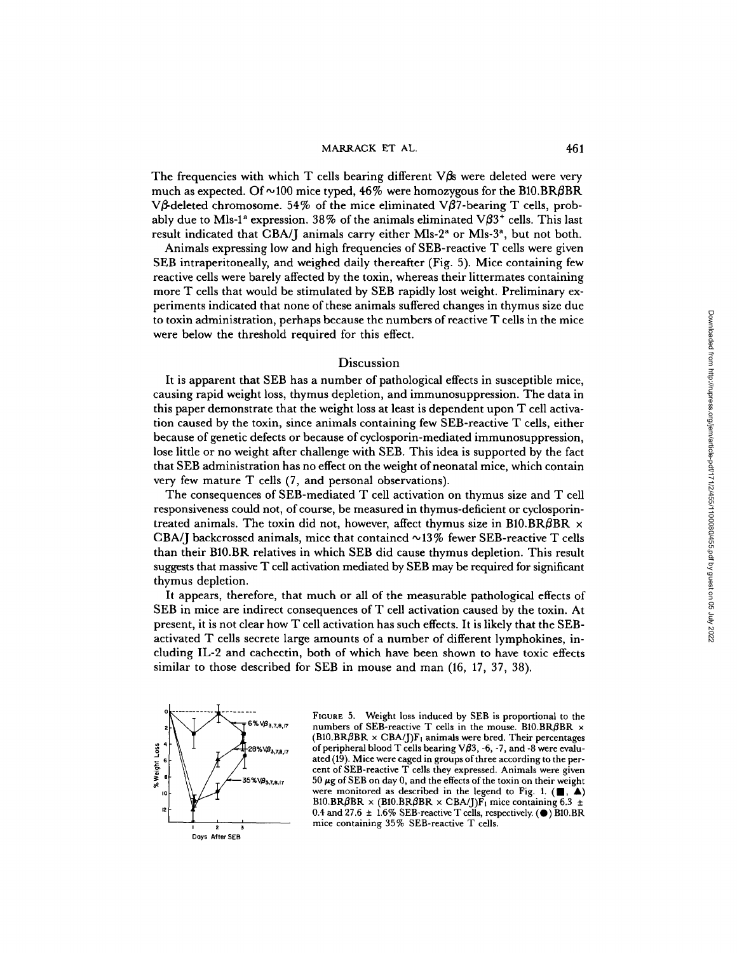#### MARRACK ET AL. 461

The frequencies with which  $T$  cells bearing different  $\nabla$  $\beta$ s were deleted were very much as expected. Of  $\sim$  100 mice typed, 46% were homozygous for the B10.BR $\beta$ BR V $\beta$ -deleted chromosome. 54% of the mice eliminated V $\beta$ 7-bearing T cells, probably due to Mls-1<sup>a</sup> expression. 38% of the animals eliminated V $\beta$ 3<sup>+</sup> cells. This last result indicated that CBA/J animals carry either Mls- $2^a$  or Mls- $3^a$ , but not both.

Animals expressing low and high frequencies of SEB-reactive T cells were given SEB intraperitoneally, and weighed daily thereafter (Fig. 5) . Mice containing few reactive cells were barely affected by the toxin, whereas their littermates containing more T cells that would be stimulated by SEB rapidly lost weight . Preliminary experiments indicated that none of these animals suffered changes in thymus size due to toxin administration, perhaps because the numbers ofreactive T cells in the mice were below the threshold required for this effect.

#### Discussion

It is apparent that SEB has a number of pathological effects in susceptible mice, causing rapid weight loss, thymus depletion, and immunosuppression. The data in this paper demonstrate that the weight loss at least is dependent upon T cell activation caused by the toxin, since animals containing few SEB-reactive T cells, either because of genetic defects or because of cyclosporin-mediated immunosuppression, lose little or no weight after challenge with SEB. This idea is supported by the fact that SEB administration has no effect on the weight of neonatal mice, which contain very few mature T cells (7, and personal observations).

The consequences of SEB-mediated T cell activation on thymus size and T cell responsiveness could not, of course, be measured in thymus-deficient or cyclosporintreated animals. The toxin did not, however, affect thymus size in B10.BR $\beta$ BR  $\times$ CBA/J backcrossed animals, mice that contained  $\sim$ 13% fewer SEB-reactive T cells than their B10.BR relatives in which SEB did cause thymus depletion. This result suggests that massive T cell activation mediated by SEB may be required for significant thymus depletion.

It appears, therefore, that much or all of the measurable pathological effects of SEB in mice are indirect consequences of T cell activation caused by the toxin. At present, it is not clear howT cell activation has such effects. It is likely that the SEBactivated T cells secrete large amounts of a number of different lymphokines, including IL-2 and cachectin, both of which have been shown to have toxic effects similar to those described for SEB in mouse and man (16, 17, 37, 38).



FIGURE 5. Weight loss induced by SEB is proportional to the numbers of SEB-reactive T cells in the mouse. BIO.BR $\beta$ BR  $\times$  $(B10.BR\beta BR \times CBA/J)F_1$  animals were bred. Their percentages of peripheral blood T cells bearing  $V\beta$ 3, -6, -7, and -8 were evaluated (19) . Mice were caged in groups of three according to the percent of SEB-reactive T cells they expressed. Animals were given  $50 \mu$ g of SEB on day 0, and the effects of the toxin on their weight were monitored as described in the legend to Fig. 1.  $(\blacksquare, \blacktriangle)$ B10.BR $\beta$ BR × (B10.BR $\beta$ BR × CBA/J)F<sub>1</sub> mice containing 6.3  $\pm$ 0.4 and 27.6  $\pm$  1.6% SEB-reactive T cells, respectively. ( $\bullet$ ) B10.BR mice containing 35% SEB-reactive The data in the microsofter and the microsofter and the microsofter and the mean of cell activa-<br>
reactive T cells, either<br>
immunosuppression,  $\frac{1}{2}$  and  $\frac{1}{2}$  reactive T cells, either<br>
al micro, which contain<br>
al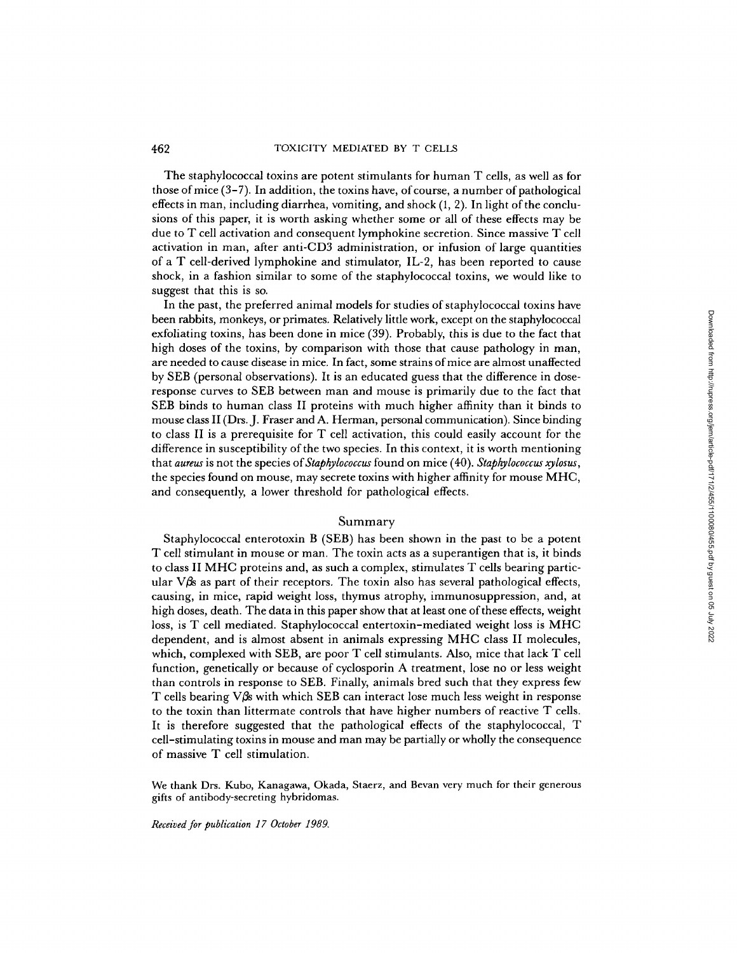The staphylococcal toxins are potent stimulants for human T cells, as well as for those of mice (3–7). In addition, the toxins have, of course, a number of pathological effects in man, including diarrhea, vomiting, and shock (1, 2). In light of the conclusions of this paper, it is worth asking whether some or all of these effects may be due to T cell activation and consequent lymphokine secretion . Since massive T cell activation in man, after anti-CD3 administration, or infusion of large quantities of a T cell-derived lymphokine and stimulator, IL-2, has been reported to cause shock, in a fashion similar to some of the staphylococcal toxins, we would like to suggest that this is so.

In the past, the preferred animal models for studies of staphylococcal toxins have been rabbits, monkeys, or primates. Relatively little work, except on the staphylococcal exfoliating toxins, has been done in mice (39). Probably, this is due to the fact that high doses of the toxins, by comparison with those that cause pathology in man, are needed to cause disease in mice. In fact, some strains ofmice are almost unaffected by SEB (personal observations) . It is an educated guess that the difference in doseresponse curves to SEB between man and mouse is primarily due to the fact that SEB binds to human class II proteins with much higher affinity than it binds to mouse class II (Drs. J. Fraser and A. Herman, personal communication) . Since binding to class II is a prerequisite for T cell activation, this could easily account for the difference in susceptibility of the two species. In this context, it is worth mentioning that aureus is not the species of Staphylococcus found on mice (40). Staphylococcus xylosus, the species found on mouse, may secrete toxins with higher affinity for mouse MHC, and consequently, a lower threshold for pathological effects .

#### Summary

Staphylococcal enterotoxin B (SEB) has been shown in the past to be a potent T cell stimulant in mouse or man. The toxin acts as a superantigen that is, it binds to class II MHC proteins and, as such a complex, stimulates T cells bearing particular  $V\beta s$  as part of their receptors. The toxin also has several pathological effects, causing, in mice, rapid weight loss, thymus atrophy, immunosuppression, and, at high doses, death. The data in this paper show that at least one of these effects, weight loss, is T cell mediated. Staphylococcal entertoxin-mediated weight loss is MHC dependent, and is almost absent in animals expressing MHC class II molecules, which, complexed with SEB, are poor T cell stimulants. Also, mice that lack T cell function, genetically or because of cyclosporin A treatment, lose no or less weight than controls in response to SEB. Finally, animals bred such that they express few T cells bearing V $\beta$ s with which SEB can interact lose much less weight in response to the toxin than littermate controls that have higher numbers of reactive T cells. It is therefore suggested that the pathological effects of the staphylococcal, T cell-stimulating toxins in mouse and man may be partially or wholly the consequence of massive T cell stimulation . been rabbits, monkeay, or primates. Relatively little-work, except on the staphylococcal<br>exchanting toxins, but been done in mice (39). Probably, this is due to the funct that<br>it high dosses of the toxins, by comparison w

We thank Drs. Kubo, Kanagawa, Okada, Staerz, and Bevan very much for their generous gifts of antibody-secreting hybridomas.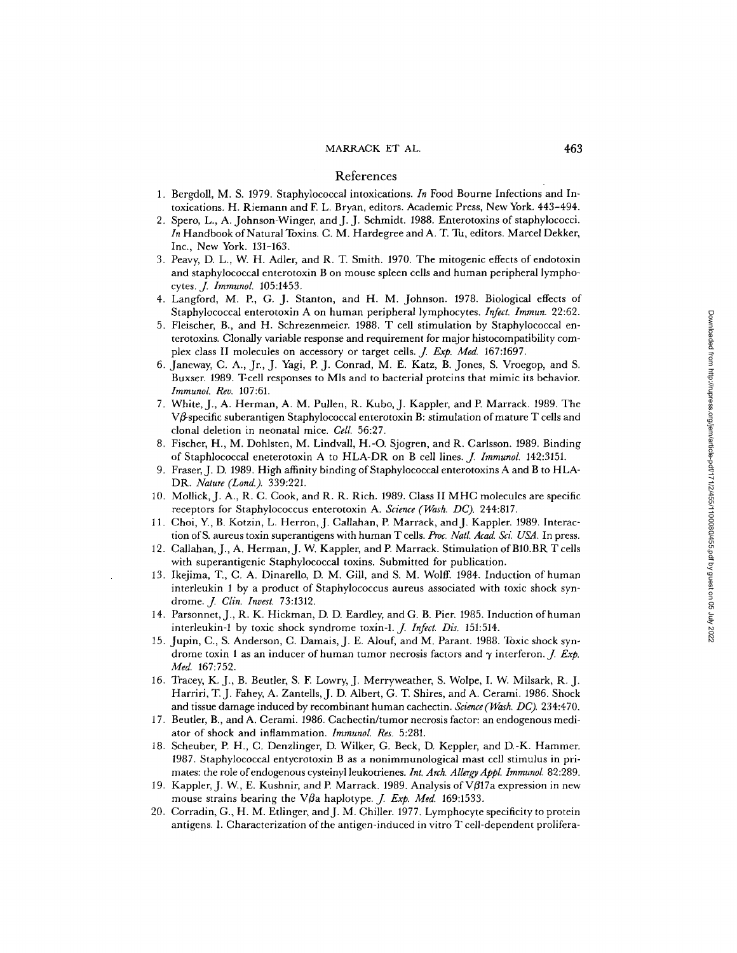## MARRACK ET AL.

### References

- 1. Bergdoll, M. S. 1979. Staphylococcal intoxications. In Food Bourne Infections and Intoxications . H. Riemann and F. L. Bryan, editors . Academic Press, New York. 443-494 .
- <sup>2</sup> . Spero, L., A. Johnson-Winger, and J. J. Schmidt. 1988. Enterotoxin <sup>s</sup> of staphylococci. In Handbook of Natural Toxins. C. M. Hardegree and A. T. Tu, editors. Marcel Dekker Inc., New York. 131-163 .
- <sup>3</sup> . Peavy, D. L., W. H. Adler, and R. T. Smith. 1970. Th e mitogenic effects of endotoxin and staphylococcal enterotoxin B on mouse spleen cells and human peripheral lymphocytes. *J. Immunol.* 105:1453.<br>Langford, M. B. C. L. S.
- 4. Langford, M. P., G. <sup>J</sup> . Stanton, and H. M. Johnson . 1978. Biological effects of Staphylococcal enterotoxin A on human peripheral lymphocytes. Infect. Immun. 22:62.
- 5. Fleischer, B., and H. Schrezenmeier. 1988. T cell stimulation by Staphylococcal enterotoxins. Clonally variable response and requirement for major histocompatibility com-<br>plex class II molecules on accessory or target cells.  $J.$  Exp. Med. 167:1697.
- 6. Janeway, C. A., Jr., J. Yagi, P. J. Conrad, M. E. Katz, B. Jones, S. Vroegop, and S. Buxser. 1989. T-cell responses to Mls and to bacterial proteins that mimic its behavior. Immunol. Rev. 107:61.
- 7. White, J., A. Herman, A. M. Pullen, R. Kubo, J . Kappler, and P. Marrack. 1989. The  $V\beta$  specific suberantigen Staphylococcal enterotoxin B: stimulation of mature T cells and clonal deletion in neonatal mice. Cell. 56:27 .
- 8. Fischer, H., M. Dohlsten, M. Lindvall, H.-O. Sjogren, and R . Carlsson . 1989. Binding of Staphlococcal eneterotoxin A to HLA-DR on
- 9. Fraser, J. D. 1989. High affinity binding of Staphylococcal enterotoxins A and B to HLA-DR. Nature (Lond.). 339:221.
- 10. Mollick, J. A., R. C. Cook, and R. R. Rich. 1989. Class II MHC molecules are specific receptors for Staphylococcus enterotoxin A. Science (Wash. DC). 244:817.
- 11 . Choi, Y., B. Kotzin, L. Herron, J. Callahan, P. Marrack, and J . Kappler. 1989. Interaction of S. aureus toxin superantigens with human T cells. Proc. Natl. Acad. Sci. USA. In press.
- 12. Callahan, J., A. Herman, J. W. Kappler, and P. Marrack. Stimulation of B10.BR T cells with superantigenic Staphylococcal toxins. Submitted for publication.
- 13. Ikejima, T., C. A. Dinarello, D. M. Gill, and S. M. Wolff. 1984. Induction of human interleukin 1 by a product of Staphylococcus aureus associated with toxic shock syndrome. *J. Clin. Invest.* 73:1312.
- 14. Parsonnet, J., R. K. Hickman, D. D. Eardley, and G. B. Pier. <sup>1985</sup> . Inductio n ofhuman interleukin-1 by toxic shock syndrome toxin-1. *J. Infect. Dis.* 151:514.<br>Junia C. S. Anderson C. Damais, J. E. Alouf and M. Persont 1999.
- 15. Jupin, C., S. Anderson, C. Damais, J. E. Alouf, and M. Parant . 1988. Toxic shock syndrome toxin 1 as an inducer of human tumor necrosis factors and  $\gamma$  interferon. *J. Exp.* Med. 167:752.
- 16. Tracey, K. J., B. Beutler, S. F. Lowry, J. Merryweather, S. Wolpe, I. W. Milsark, R. J.<br>T. S. W. Milsark, R. J. W. T. J. W. T. J. W. T. S. Wolfe, I. W. Milsark, R. J. Harriri, T. J. Fahey, A. Zantells, J. D. Albert, G. T. Shires, and A. Cerami. 1986. Shock and tissue damage induced by recombinant human cachectin. Science (Wash. DC). 234:470.
- 17. Beutler, B., and A. Cerami. 1986. Cachectin/tumo <sup>r</sup> necrosis factor : an endogenous mediator of shock and inflammation. Immunol. Res. 5:281.
- 18. Scheuber, P. H., C. Denzlinger, D. Wilker, G. Beck, D. Keppler, and D.-K. Hammer. 1987. Staphylococcal entyerotoxin B as a nonimmunological mast cell stimulus in primates: the role of endogenous cysteinyl leukotrienes. Int. Arch. Allergy Appl. Immunol. 82:289.
- 19. Kappler, J. W., E. Kushnir, and P. Marrack. 1989. Analysis of V $\beta$ 17a expression in new mouse strains bearing the V $\beta$ a haplotype. *J. Exp. Med.* 169:1533.
- 20. Corradin, G., H. M. Edinger, and J. M. Chiller. 1977. Lymphocyt e specificity to protein antigens. I. Characterization of the antigen-induced in vitro  $\mathrm T$  cell-dependent prolifera-